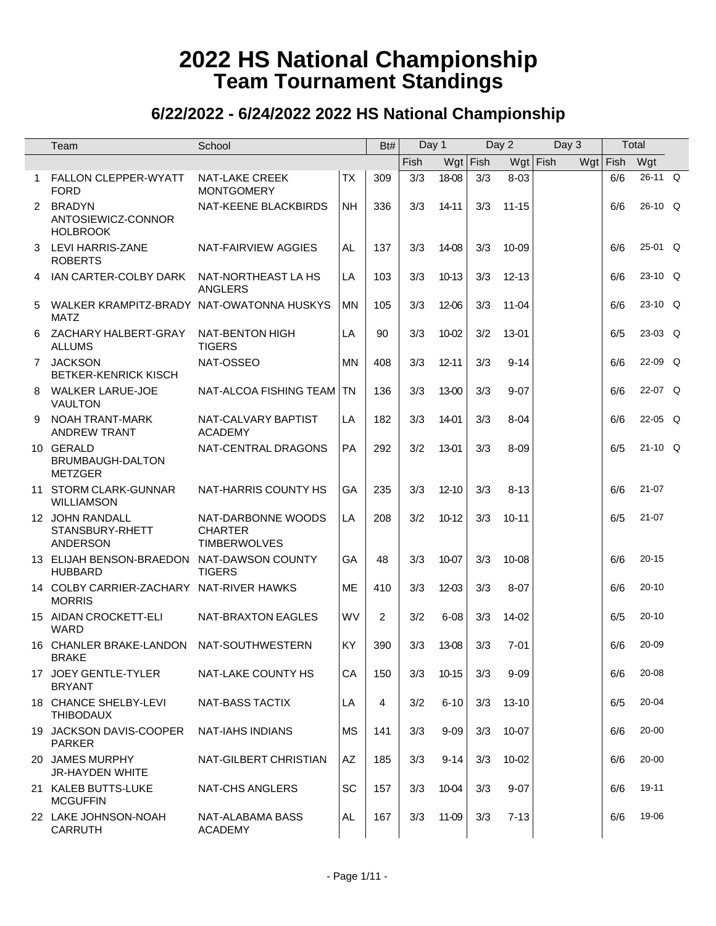|                      | Team                                                      | School                                                      |           | Bt# | Day 1 |           |     | Day 2      | Day 3 |            | Total     |  |
|----------------------|-----------------------------------------------------------|-------------------------------------------------------------|-----------|-----|-------|-----------|-----|------------|-------|------------|-----------|--|
|                      |                                                           |                                                             |           |     | Fish  | Wgt Fish  |     | $Wgt$ Fish |       | $Wgt$ Fish | Wgt       |  |
| $\mathbf 1$          | <b>FALLON CLEPPER-WYATT</b><br><b>FORD</b>                | <b>NAT-LAKE CREEK</b><br><b>MONTGOMERY</b>                  | <b>TX</b> | 309 | 3/3   | 18-08     | 3/3 | $8 - 03$   |       | 6/6        | $26-11$ O |  |
| $\mathbf{2}^{\circ}$ | <b>BRADYN</b><br>ANTOSIEWICZ-CONNOR<br><b>HOLBROOK</b>    | NAT-KEENE BLACKBIRDS                                        | NΗ        | 336 | 3/3   | 14-11     | 3/3 | $11 - 15$  |       | 6/6        | 26-10 Q   |  |
| 3                    | LEVI HARRIS-ZANE<br><b>ROBERTS</b>                        | NAT-FAIRVIEW AGGIES                                         | AL.       | 137 | 3/3   | 14-08     | 3/3 | 10-09      |       | 6/6        | 25-01 Q   |  |
| 4                    | IAN CARTER-COLBY DARK                                     | NAT-NORTHEAST LA HS<br><b>ANGLERS</b>                       | LA        | 103 | 3/3   | $10-13$   | 3/3 | $12 - 13$  |       | 6/6        | $23-10$ Q |  |
| 5                    | WALKER KRAMPITZ-BRADY NAT-OWATONNA HUSKYS<br><b>MATZ</b>  |                                                             | <b>MN</b> | 105 | 3/3   | 12-06     | 3/3 | 11-04      |       | 6/6        | $23-10$ Q |  |
| 6                    | ZACHARY HALBERT-GRAY<br><b>ALLUMS</b>                     | NAT-BENTON HIGH<br><b>TIGERS</b>                            | LA        | 90  | 3/3   | 10-02     | 3/2 | 13-01      |       | 6/5        | $23-03$ Q |  |
|                      | 7 JACKSON<br><b>BETKER-KENRICK KISCH</b>                  | NAT-OSSEO                                                   | <b>MN</b> | 408 | 3/3   | $12 - 11$ | 3/3 | $9 - 14$   |       | 6/6        | 22-09 Q   |  |
| 8                    | <b>WALKER LARUE-JOE</b><br><b>VAULTON</b>                 | NAT-ALCOA FISHING TEAM                                      | TN        | 136 | 3/3   | 13-00     | 3/3 | $9 - 07$   |       | 6/6        | 22-07 Q   |  |
| 9                    | NOAH TRANT-MARK<br><b>ANDREW TRANT</b>                    | NAT-CALVARY BAPTIST<br><b>ACADEMY</b>                       | LA        | 182 | 3/3   | 14-01     | 3/3 | $8 - 04$   |       | 6/6        | $22-05$ Q |  |
|                      | 10 GERALD<br>BRUMBAUGH-DALTON<br><b>METZGER</b>           | NAT-CENTRAL DRAGONS                                         | <b>PA</b> | 292 | 3/2   | 13-01     | 3/3 | $8 - 09$   |       | 6/5        | $21-10$ Q |  |
|                      | 11 STORM CLARK-GUNNAR<br><b>WILLIAMSON</b>                | NAT-HARRIS COUNTY HS                                        | GA        | 235 | 3/3   | $12 - 10$ | 3/3 | $8 - 13$   |       | 6/6        | $21 - 07$ |  |
|                      | 12 JOHN RANDALL<br>STANSBURY-RHETT<br><b>ANDERSON</b>     | NAT-DARBONNE WOODS<br><b>CHARTER</b><br><b>TIMBERWOLVES</b> | LA        | 208 | 3/2   | $10 - 12$ | 3/3 | $10 - 11$  |       | 6/5        | $21 - 07$ |  |
|                      | 13 ELIJAH BENSON-BRAEDON<br><b>HUBBARD</b>                | NAT-DAWSON COUNTY<br><b>TIGERS</b>                          | <b>GA</b> | 48  | 3/3   | 10-07     | 3/3 | 10-08      |       | 6/6        | $20 - 15$ |  |
|                      | 14 COLBY CARRIER-ZACHARY NAT-RIVER HAWKS<br><b>MORRIS</b> |                                                             | ME        | 410 | 3/3   | 12-03     | 3/3 | $8 - 07$   |       | 6/6        | $20 - 10$ |  |
|                      | 15 AIDAN CROCKETT-ELI<br><b>WARD</b>                      | NAT-BRAXTON EAGLES                                          | WV        | 2   | 3/2   | $6 - 08$  | 3/3 | 14-02      |       | 6/5        | $20 - 10$ |  |
|                      | 16 CHANLER BRAKE-LANDON NAT-SOUTHWESTERN<br><b>BRAKE</b>  |                                                             | <b>KY</b> | 390 | 3/3   | 13-08     | 3/3 | $7 - 01$   |       | 6/6        | 20-09     |  |
|                      | 17 JOEY GENTLE-TYLER<br><b>BRYANT</b>                     | NAT-LAKE COUNTY HS                                          | CA        | 150 | 3/3   | $10 - 15$ | 3/3 | $9 - 09$   |       | 6/6        | 20-08     |  |
|                      | 18 CHANCE SHELBY-LEVI<br><b>THIBODAUX</b>                 | NAT-BASS TACTIX                                             | LA        | 4   | 3/2   | $6 - 10$  | 3/3 | 13-10      |       | 6/5        | 20-04     |  |
|                      | 19 JACKSON DAVIS-COOPER<br><b>PARKER</b>                  | NAT-IAHS INDIANS                                            | <b>MS</b> | 141 | 3/3   | $9 - 09$  | 3/3 | 10-07      |       | 6/6        | $20 - 00$ |  |
|                      | 20 JAMES MURPHY<br><b>JR-HAYDEN WHITE</b>                 | NAT-GILBERT CHRISTIAN                                       | AZ        | 185 | 3/3   | $9 - 14$  | 3/3 | 10-02      |       | 6/6        | $20 - 00$ |  |
|                      | 21 KALEB BUTTS-LUKE<br><b>MCGUFFIN</b>                    | NAT-CHS ANGLERS                                             | SC        | 157 | 3/3   | 10-04     | 3/3 | $9 - 07$   |       | 6/6        | 19-11     |  |
|                      | 22 LAKE JOHNSON-NOAH<br><b>CARRUTH</b>                    | NAT-ALABAMA BASS<br><b>ACADEMY</b>                          | AL        | 167 | 3/3   | 11-09     | 3/3 | $7 - 13$   |       | 6/6        | 19-06     |  |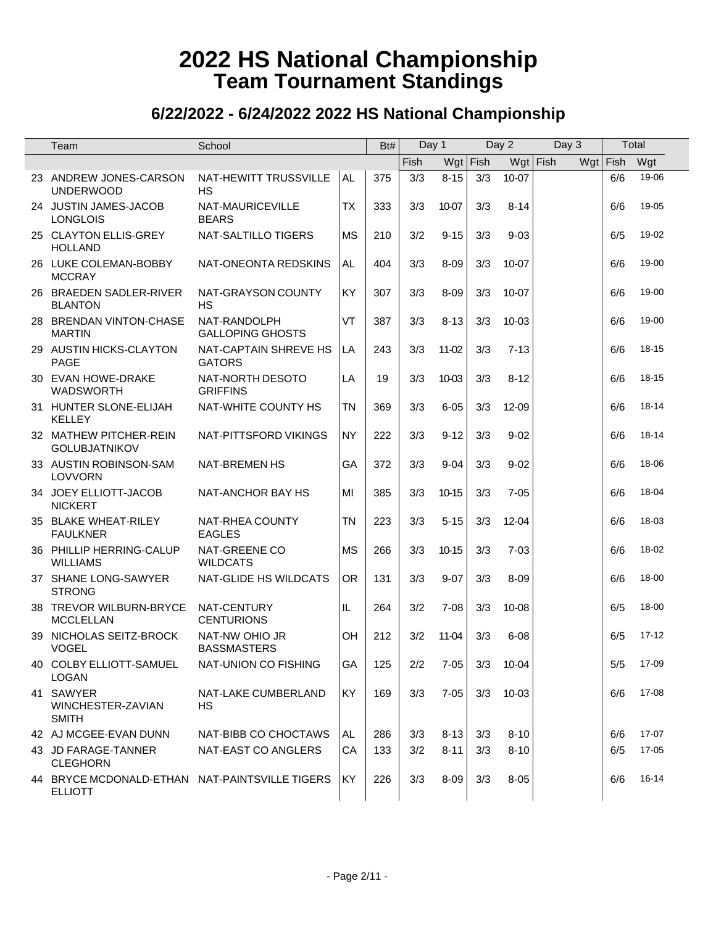| Team                                                             | School                                  |           | Bt# | Day 1       |           |          | Day 2     | Day 3      |     | Total |           |
|------------------------------------------------------------------|-----------------------------------------|-----------|-----|-------------|-----------|----------|-----------|------------|-----|-------|-----------|
|                                                                  |                                         |           |     | <b>Fish</b> | Wgt       | $ $ Fish |           | $Wgt$ Fish | Wgt | Fish  | Wgt       |
| 23 ANDREW JONES-CARSON<br><b>UNDERWOOD</b>                       | NAT-HEWITT TRUSSVILLE<br><b>HS</b>      | <b>AL</b> | 375 | 3/3         | $8 - 15$  | 3/3      | $10-07$   |            |     | 6/6   | 19-06     |
| 24 JUSTIN JAMES-JACOB<br><b>LONGLOIS</b>                         | NAT-MAURICEVILLE<br><b>BEARS</b>        | <b>TX</b> | 333 | 3/3         | 10-07     | 3/3      | $8 - 14$  |            |     | 6/6   | 19-05     |
| 25 CLAYTON ELLIS-GREY<br><b>HOLLAND</b>                          | NAT-SALTILLO TIGERS                     | <b>MS</b> | 210 | 3/2         | $9 - 15$  | 3/3      | $9 - 03$  |            |     | 6/5   | 19-02     |
| 26 LUKE COLEMAN-BOBBY<br><b>MCCRAY</b>                           | NAT-ONEONTA REDSKINS                    | AL.       | 404 | 3/3         | $8 - 09$  | 3/3      | 10-07     |            |     | 6/6   | 19-00     |
| 26 BRAEDEN SADLER-RIVER<br><b>BLANTON</b>                        | NAT-GRAYSON COUNTY<br><b>HS</b>         | <b>KY</b> | 307 | 3/3         | $8 - 09$  | 3/3      | 10-07     |            |     | 6/6   | 19-00     |
| 28 BRENDAN VINTON-CHASE<br><b>MARTIN</b>                         | NAT-RANDOLPH<br><b>GALLOPING GHOSTS</b> | VT        | 387 | 3/3         | $8 - 13$  | 3/3      | $10 - 03$ |            |     | 6/6   | 19-00     |
| 29 AUSTIN HICKS-CLAYTON<br><b>PAGE</b>                           | NAT-CAPTAIN SHREVE HS<br><b>GATORS</b>  | LA        | 243 | 3/3         | 11-02     | 3/3      | $7 - 13$  |            |     | 6/6   | 18-15     |
| 30 EVAN HOWE-DRAKE<br>WADSWORTH                                  | NAT-NORTH DESOTO<br><b>GRIFFINS</b>     | LA        | 19  | 3/3         | 10-03     | 3/3      | $8 - 12$  |            |     | 6/6   | 18-15     |
| 31 HUNTER SLONE-ELIJAH<br><b>KELLEY</b>                          | NAT-WHITE COUNTY HS                     | <b>TN</b> | 369 | 3/3         | $6 - 05$  | 3/3      | 12-09     |            |     | 6/6   | 18-14     |
| 32 MATHEW PITCHER-REIN<br><b>GOLUBJATNIKOV</b>                   | NAT-PITTSFORD VIKINGS                   | <b>NY</b> | 222 | 3/3         | $9 - 12$  | 3/3      | $9 - 02$  |            |     | 6/6   | 18-14     |
| 33 AUSTIN ROBINSON-SAM<br><b>LOVVORN</b>                         | NAT-BREMEN HS                           | GA        | 372 | 3/3         | $9 - 04$  | 3/3      | $9 - 02$  |            |     | 6/6   | 18-06     |
| 34 JOEY ELLIOTT-JACOB<br><b>NICKERT</b>                          | NAT-ANCHOR BAY HS                       | MI        | 385 | 3/3         | 10-15     | 3/3      | $7 - 05$  |            |     | 6/6   | 18-04     |
| 35 BLAKE WHEAT-RILEY<br><b>FAULKNER</b>                          | NAT-RHEA COUNTY<br><b>EAGLES</b>        | <b>TN</b> | 223 | 3/3         | $5 - 15$  | 3/3      | $12 - 04$ |            |     | 6/6   | 18-03     |
| 36 PHILLIP HERRING-CALUP<br><b>WILLIAMS</b>                      | NAT-GREENE CO<br><b>WILDCATS</b>        | <b>MS</b> | 266 | 3/3         | $10 - 15$ | 3/3      | $7 - 03$  |            |     | 6/6   | 18-02     |
| 37 SHANE LONG-SAWYER<br><b>STRONG</b>                            | NAT-GLIDE HS WILDCATS                   | <b>OR</b> | 131 | 3/3         | $9 - 07$  | 3/3      | $8 - 09$  |            |     | 6/6   | 18-00     |
| 38 TREVOR WILBURN-BRYCE<br><b>MCCLELLAN</b>                      | NAT-CENTURY<br><b>CENTURIONS</b>        | IL        | 264 | 3/2         | $7 - 08$  | 3/3      | $10 - 08$ |            |     | 6/5   | 18-00     |
| 39 NICHOLAS SEITZ-BROCK<br><b>VOGEL</b>                          | NAT-NW OHIO JR<br><b>BASSMASTERS</b>    | OH        | 212 | 3/2         | 11-04     | 3/3      | $6 - 08$  |            |     | 6/5   | $17 - 12$ |
| 40 COLBY ELLIOTT-SAMUEL<br><b>LOGAN</b>                          | NAT-UNION CO FISHING                    | GA        | 125 | 2/2         | $7 - 05$  | 3/3      | 10-04     |            |     | 5/5   | 17-09     |
| 41 SAWYER<br>WINCHESTER-ZAVIAN<br><b>SMITH</b>                   | NAT-LAKE CUMBERLAND<br><b>HS</b>        | KY        | 169 | 3/3         | $7 - 05$  | 3/3      | 10-03     |            |     | 6/6   | 17-08     |
| 42 AJ MCGEE-EVAN DUNN                                            | NAT-BIBB CO CHOCTAWS                    | AL        | 286 | 3/3         | $8 - 13$  | 3/3      | $8 - 10$  |            |     | 6/6   | 17-07     |
| 43 JD FARAGE-TANNER<br><b>CLEGHORN</b>                           | NAT-EAST CO ANGLERS                     | CA        | 133 | 3/2         | $8 - 11$  | 3/3      | $8 - 10$  |            |     | 6/5   | 17-05     |
| 44 BRYCE MCDONALD-ETHAN NAT-PAINTSVILLE TIGERS<br><b>ELLIOTT</b> |                                         | <b>KY</b> | 226 | 3/3         | $8-09$    | 3/3      | $8 - 05$  |            |     | 6/6   | 16-14     |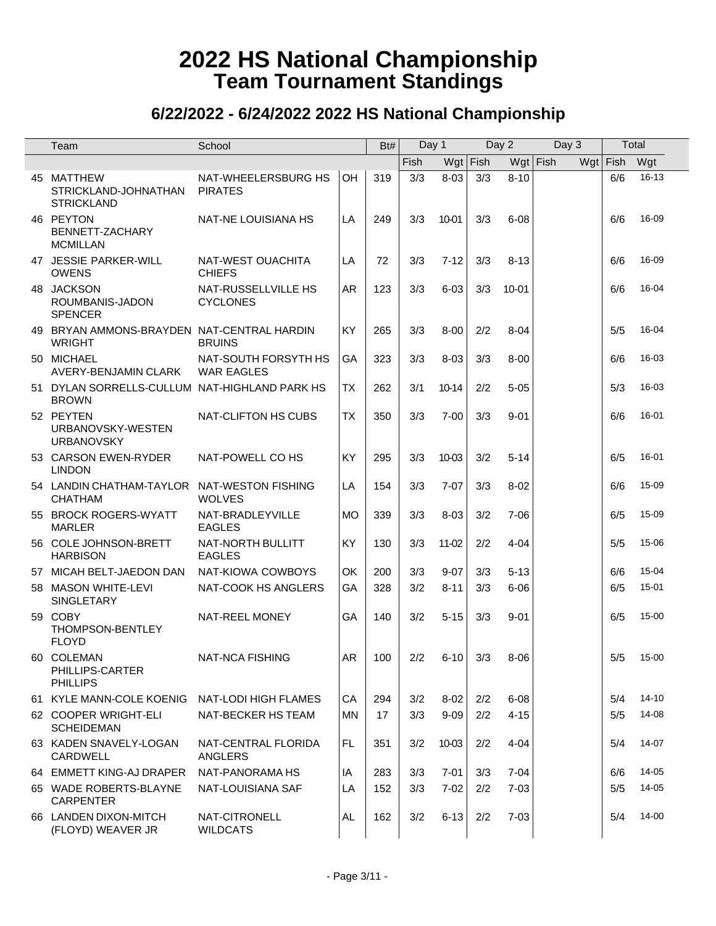| Team                                                          | School                                    |           | Bt# | Day 1 |            |          | Day 2     | Day 3 | Total      |           |
|---------------------------------------------------------------|-------------------------------------------|-----------|-----|-------|------------|----------|-----------|-------|------------|-----------|
|                                                               |                                           |           |     | Fish  |            | Wgt Fish | Wgt Fish  |       | $Wgt$ Fish | Wgt       |
| 45 MATTHEW<br>STRICKLAND-JOHNATHAN<br><b>STRICKLAND</b>       | NAT-WHEELERSBURG HS<br><b>PIRATES</b>     | OH        | 319 | 3/3   | $8 - 03$   | 3/3      | $8 - 10$  |       | 6/6        | 16-13     |
| 46 PEYTON<br>BENNETT-ZACHARY<br><b>MCMILLAN</b>               | NAT-NE LOUISIANA HS                       | LA        | 249 | 3/3   | 10-01      | 3/3      | $6 - 08$  |       | 6/6        | 16-09     |
| 47 JESSIE PARKER-WILL<br><b>OWENS</b>                         | NAT-WEST OUACHITA<br><b>CHIEFS</b>        | LA        | 72  | 3/3   | $7 - 12$   | 3/3      | $8 - 13$  |       | 6/6        | 16-09     |
| 48 JACKSON<br>ROUMBANIS-JADON<br><b>SPENCER</b>               | NAT-RUSSELLVILLE HS<br><b>CYCLONES</b>    | AR.       | 123 | 3/3   | $6 - 03$   | 3/3      | $10 - 01$ |       | 6/6        | 16-04     |
| 49 BRYAN AMMONS-BRAYDEN NAT-CENTRAL HARDIN<br><b>WRIGHT</b>   | <b>BRUINS</b>                             | <b>KY</b> | 265 | 3/3   | $8 - 00$   | 2/2      | $8 - 04$  |       | 5/5        | 16-04     |
| 50 MICHAEL<br>AVERY-BENJAMIN CLARK                            | NAT-SOUTH FORSYTH HS<br><b>WAR EAGLES</b> | GA        | 323 | 3/3   | $8 - 03$   | 3/3      | $8 - 00$  |       | 6/6        | 16-03     |
| 51 DYLAN SORRELLS-CULLUM NAT-HIGHLAND PARK HS<br><b>BROWN</b> |                                           | <b>TX</b> | 262 | 3/1   | $10 - 14$  | 2/2      | $5 - 05$  |       | 5/3        | 16-03     |
| 52 PEYTEN<br>URBANOVSKY-WESTEN<br><b>URBANOVSKY</b>           | NAT-CLIFTON HS CUBS                       | TX        | 350 | 3/3   | $7 - 00$   | 3/3      | $9 - 01$  |       | 6/6        | 16-01     |
| 53 CARSON EWEN-RYDER<br><b>LINDON</b>                         | NAT-POWELL CO HS                          | <b>KY</b> | 295 | 3/3   | 10-03      | 3/2      | $5 - 14$  |       | 6/5        | 16-01     |
| 54 LANDIN CHATHAM-TAYLOR NAT-WESTON FISHING<br><b>CHATHAM</b> | <b>WOLVES</b>                             | LA        | 154 | 3/3   | $7 - 07$   | 3/3      | $8 - 02$  |       | 6/6        | 15-09     |
| 55 BROCK ROGERS-WYATT<br><b>MARLER</b>                        | NAT-BRADLEYVILLE<br><b>EAGLES</b>         | <b>MO</b> | 339 | 3/3   | $8 - 03$   | 3/2      | $7 - 06$  |       | 6/5        | 15-09     |
| 56 COLE JOHNSON-BRETT<br><b>HARBISON</b>                      | NAT-NORTH BULLITT<br><b>EAGLES</b>        | <b>KY</b> | 130 | 3/3   | 11-02      | 2/2      | $4 - 04$  |       | 5/5        | 15-06     |
| 57 MICAH BELT-JAEDON DAN                                      | NAT-KIOWA COWBOYS                         | OK        | 200 | 3/3   | $9 - 07$   | 3/3      | $5 - 13$  |       | 6/6        | 15-04     |
| 58 MASON WHITE-LEVI<br>SINGLETARY                             | NAT-COOK HS ANGLERS                       | GA        | 328 | 3/2   | $8 - 11$   | 3/3      | $6 - 06$  |       | 6/5        | 15-01     |
| 59 COBY<br>THOMPSON-BENTLEY<br><b>FLOYD</b>                   | NAT-REEL MONEY                            | GA        | 140 | 3/2   | $5 - 15$   | 3/3      | $9 - 01$  |       | 6/5        | $15 - 00$ |
| 60 COLEMAN<br>PHILLIPS-CARTER<br><b>PHILLIPS</b>              | NAT-NCA FISHING                           | AR        | 100 | 2/2   | $6-10$ 3/3 |          | $8 - 06$  |       |            | 5/5 15-00 |
| 61 KYLE MANN-COLE KOENIG                                      | NAT-LODI HIGH FLAMES                      | CA        | 294 | 3/2   | $8 - 02$   | 2/2      | $6 - 08$  |       | 5/4        | $14 - 10$ |
| 62 COOPER WRIGHT-ELI<br><b>SCHEIDEMAN</b>                     | NAT-BECKER HS TEAM                        | <b>MN</b> | 17  | 3/3   | $9 - 09$   | 2/2      | $4 - 15$  |       | 5/5        | 14-08     |
| 63 KADEN SNAVELY-LOGAN<br>CARDWELL                            | NAT-CENTRAL FLORIDA<br><b>ANGLERS</b>     | FL.       | 351 | 3/2   | 10-03      | 2/2      | $4 - 04$  |       | 5/4        | 14-07     |
| 64 EMMETT KING-AJ DRAPER                                      | NAT-PANORAMA HS                           | IA        | 283 | 3/3   | $7 - 01$   | 3/3      | $7 - 04$  |       | 6/6        | 14-05     |
| 65 WADE ROBERTS-BLAYNE<br><b>CARPENTER</b>                    | NAT-LOUISIANA SAF                         | LA        | 152 | 3/3   | $7 - 02$   | 2/2      | $7 - 03$  |       | 5/5        | 14-05     |
| 66 LANDEN DIXON-MITCH<br>(FLOYD) WEAVER JR                    | NAT-CITRONELL<br><b>WILDCATS</b>          | AL        | 162 | 3/2   | $6 - 13$   | 2/2      | $7 - 03$  |       | 5/4        | 14-00     |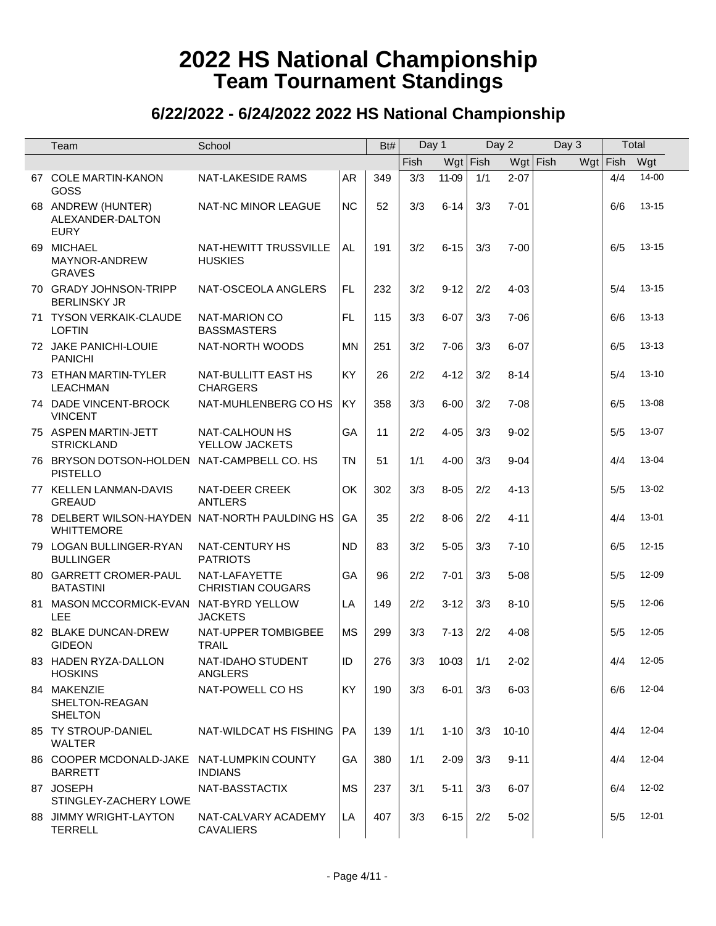|    | Team                                                                | School                                     |           | Bt# | Day 1 |          |            | Day 2      | Day 3 | Total      |           |
|----|---------------------------------------------------------------------|--------------------------------------------|-----------|-----|-------|----------|------------|------------|-------|------------|-----------|
|    |                                                                     |                                            |           |     | Fish  |          | $Wgt$ Fish | $Wgt$ Fish |       | $Wgt$ Fish | Wgt       |
|    | 67 COLE MARTIN-KANON<br>GOSS                                        | NAT-LAKESIDE RAMS                          | AR        | 349 | 3/3   | 11-09    | 1/1        | $2 - 07$   |       | 4/4        | 14-00     |
|    | 68 ANDREW (HUNTER)<br>ALEXANDER-DALTON<br><b>EURY</b>               | NAT-NC MINOR LEAGUE                        | <b>NC</b> | 52  | 3/3   | $6 - 14$ | 3/3        | $7 - 01$   |       | 6/6        | $13 - 15$ |
|    | 69 MICHAEL<br>MAYNOR-ANDREW<br><b>GRAVES</b>                        | NAT-HEWITT TRUSSVILLE<br><b>HUSKIES</b>    | AL.       | 191 | 3/2   | $6 - 15$ | 3/3        | $7 - 00$   |       | 6/5        | $13 - 15$ |
|    | 70 GRADY JOHNSON-TRIPP<br><b>BERLINSKY JR</b>                       | NAT-OSCEOLA ANGLERS                        | <b>FL</b> | 232 | 3/2   | $9 - 12$ | 2/2        | $4 - 03$   |       | 5/4        | $13 - 15$ |
|    | 71 TYSON VERKAIK-CLAUDE<br><b>LOFTIN</b>                            | <b>NAT-MARION CO</b><br><b>BASSMASTERS</b> | <b>FL</b> | 115 | 3/3   | $6 - 07$ | 3/3        | $7 - 06$   |       | 6/6        | 13-13     |
|    | 72 JAKE PANICHI-LOUIE<br><b>PANICHI</b>                             | NAT-NORTH WOODS                            | <b>MN</b> | 251 | 3/2   | $7 - 06$ | 3/3        | $6 - 07$   |       | 6/5        | $13 - 13$ |
|    | 73 ETHAN MARTIN-TYLER<br><b>LEACHMAN</b>                            | NAT-BULLITT EAST HS<br><b>CHARGERS</b>     | KY        | 26  | 2/2   | $4 - 12$ | 3/2        | $8 - 14$   |       | 5/4        | $13 - 10$ |
|    | 74 DADE VINCENT-BROCK<br><b>VINCENT</b>                             | NAT-MUHLENBERG CO HS                       | KY        | 358 | 3/3   | $6 - 00$ | 3/2        | $7 - 08$   |       | 6/5        | 13-08     |
|    | 75 ASPEN MARTIN-JETT<br><b>STRICKLAND</b>                           | NAT-CALHOUN HS<br>YELLOW JACKETS           | GA        | 11  | 2/2   | $4 - 05$ | 3/3        | $9 - 02$   |       | 5/5        | 13-07     |
|    | 76 BRYSON DOTSON-HOLDEN NAT-CAMPBELL CO. HS<br><b>PISTELLO</b>      |                                            | <b>TN</b> | 51  | 1/1   | $4 - 00$ | 3/3        | $9 - 04$   |       | 4/4        | 13-04     |
|    | 77 KELLEN LANMAN-DAVIS<br><b>GREAUD</b>                             | NAT-DEER CREEK<br><b>ANTLERS</b>           | OK        | 302 | 3/3   | $8 - 05$ | 2/2        | $4 - 13$   |       | 5/5        | 13-02     |
|    | 78 DELBERT WILSON-HAYDEN NAT-NORTH PAULDING HS<br><b>WHITTEMORE</b> |                                            | GA        | 35  | 2/2   | $8 - 06$ | 2/2        | $4 - 11$   |       | 4/4        | 13-01     |
|    | 79 LOGAN BULLINGER-RYAN<br><b>BULLINGER</b>                         | NAT-CENTURY HS<br><b>PATRIOTS</b>          | <b>ND</b> | 83  | 3/2   | $5 - 05$ | 3/3        | $7 - 10$   |       | 6/5        | $12 - 15$ |
|    | 80 GARRETT CROMER-PAUL<br><b>BATASTINI</b>                          | NAT-LAFAYETTE<br><b>CHRISTIAN COUGARS</b>  | GA        | 96  | 2/2   | $7 - 01$ | 3/3        | $5 - 08$   |       | 5/5        | 12-09     |
| 81 | MASON MCCORMICK-EVAN NAT-BYRD YELLOW<br>LEE                         | <b>JACKETS</b>                             | LA        | 149 | 2/2   | $3 - 12$ | 3/3        | $8 - 10$   |       | 5/5        | 12-06     |
|    | 82 BLAKE DUNCAN-DREW<br><b>GIDEON</b>                               | NAT-UPPER TOMBIGBEE<br><b>TRAIL</b>        | <b>MS</b> | 299 | 3/3   | $7 - 13$ | 2/2        | $4 - 08$   |       | 5/5        | $12 - 05$ |
|    | 83 HADEN RYZA-DALLON<br><b>HOSKINS</b>                              | NAT-IDAHO STUDENT<br><b>ANGLERS</b>        | ID        | 276 | 3/3   | 10-03    | 1/1        | 2-02       |       | 4/4        | 12-05     |
|    | 84 MAKENZIE<br>SHELTON-REAGAN<br><b>SHELTON</b>                     | NAT-POWELL CO HS                           | KY.       | 190 | 3/3   | $6 - 01$ | 3/3        | $6 - 03$   |       | 6/6        | 12-04     |
|    | 85 TY STROUP-DANIEL<br><b>WALTER</b>                                | NAT-WILDCAT HS FISHING                     | <b>PA</b> | 139 | 1/1   | $1 - 10$ | 3/3        | $10 - 10$  |       | 4/4        | 12-04     |
|    | 86 COOPER MCDONALD-JAKE NAT-LUMPKIN COUNTY<br><b>BARRETT</b>        | <b>INDIANS</b>                             | GA        | 380 | 1/1   | $2 - 09$ | 3/3        | $9 - 11$   |       | 4/4        | 12-04     |
|    | 87 JOSEPH<br>STINGLEY-ZACHERY LOWE                                  | NAT-BASSTACTIX                             | <b>MS</b> | 237 | 3/1   | $5 - 11$ | 3/3        | $6 - 07$   |       | 6/4        | 12-02     |
|    | 88 JIMMY WRIGHT-LAYTON<br><b>TERRELL</b>                            | NAT-CALVARY ACADEMY<br><b>CAVALIERS</b>    | LA        | 407 | 3/3   | $6 - 15$ | 2/2        | $5 - 02$   |       | 5/5        | $12 - 01$ |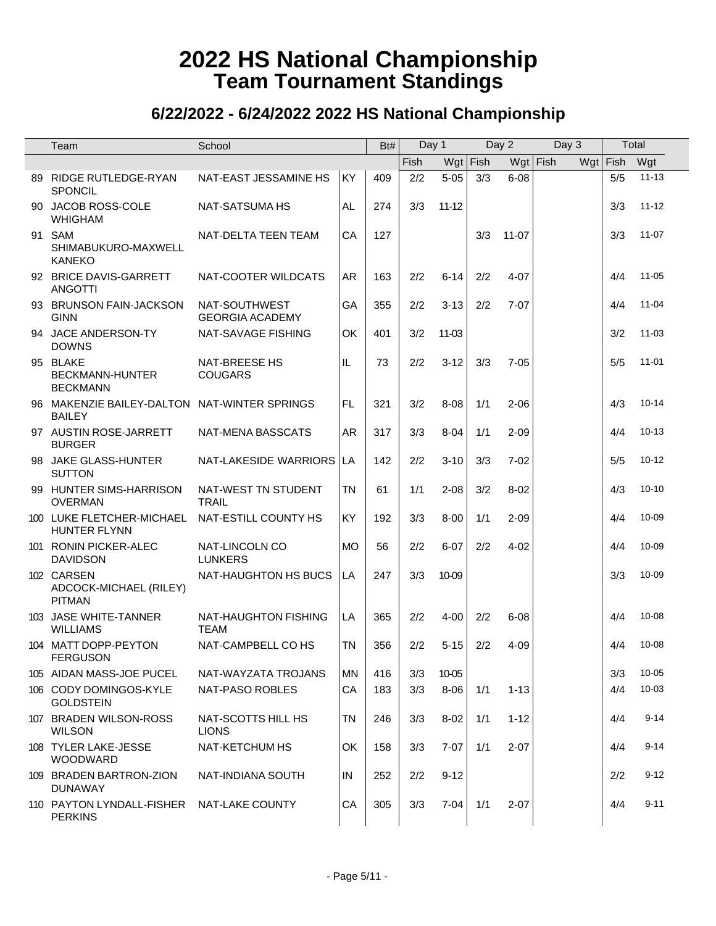| Team                                                          | School                                  |           | Bt# | Day 1 |           |            | Day 2      | Day 3 |            | Total     |
|---------------------------------------------------------------|-----------------------------------------|-----------|-----|-------|-----------|------------|------------|-------|------------|-----------|
|                                                               |                                         |           |     | Fish  |           | $Wgt$ Fish | $Wgt$ Fish |       | $Wgt$ Fish | Wgt       |
| 89 RIDGE RUTLEDGE-RYAN<br>SPONCIL                             | NAT-EAST JESSAMINE HS                   | KY        | 409 | 2/2   | $5 - 05$  | 3/3        | $6 - 08$   |       | 5/5        | $11 - 13$ |
| 90 JACOB ROSS-COLE<br><b>WHIGHAM</b>                          | NAT-SATSUMA HS                          | AL.       | 274 | 3/3   | $11 - 12$ |            |            |       | 3/3        | $11 - 12$ |
| 91 SAM<br>SHIMABUKURO-MAXWELL<br><b>KANEKO</b>                | NAT-DELTA TEEN TEAM                     | CA        | 127 |       |           | 3/3        | $11 - 07$  |       | 3/3        | $11-07$   |
| 92 BRICE DAVIS-GARRETT<br><b>ANGOTTI</b>                      | NAT-COOTER WILDCATS                     | <b>AR</b> | 163 | 2/2   | $6 - 14$  | 2/2        | $4 - 07$   |       | 4/4        | $11 - 05$ |
| 93 BRUNSON FAIN-JACKSON<br><b>GINN</b>                        | NAT-SOUTHWEST<br><b>GEORGIA ACADEMY</b> | GA        | 355 | 2/2   | $3 - 13$  | 2/2        | $7 - 07$   |       | 4/4        | $11 - 04$ |
| 94 JACE ANDERSON-TY<br><b>DOWNS</b>                           | NAT-SAVAGE FISHING                      | OK        | 401 | 3/2   | 11-03     |            |            |       | 3/2        | $11 - 03$ |
| 95 BLAKE<br><b>BECKMANN-HUNTER</b><br><b>BECKMANN</b>         | <b>NAT-BREESE HS</b><br><b>COUGARS</b>  | IL        | 73  | 2/2   | $3 - 12$  | 3/3        | $7 - 05$   |       | 5/5        | $11 - 01$ |
| 96 MAKENZIE BAILEY-DALTON NAT-WINTER SPRINGS<br><b>BAILEY</b> |                                         | <b>FL</b> | 321 | 3/2   | $8 - 08$  | 1/1        | $2 - 06$   |       | 4/3        | $10 - 14$ |
| 97 AUSTIN ROSE-JARRETT<br><b>BURGER</b>                       | NAT-MENA BASSCATS                       | <b>AR</b> | 317 | 3/3   | $8 - 04$  | 1/1        | $2 - 09$   |       | 4/4        | $10 - 13$ |
| 98 JAKE GLASS-HUNTER<br><b>SUTTON</b>                         | NAT-LAKESIDE WARRIORS                   | LA        | 142 | 2/2   | $3 - 10$  | 3/3        | $7 - 02$   |       | 5/5        | $10 - 12$ |
| 99 HUNTER SIMS-HARRISON<br><b>OVERMAN</b>                     | NAT-WEST TN STUDENT<br><b>TRAIL</b>     | <b>TN</b> | 61  | 1/1   | $2 - 08$  | 3/2        | $8 - 02$   |       | 4/3        | $10 - 10$ |
| 100 LUKE FLETCHER-MICHAEL<br>HUNTER FLYNN                     | NAT-ESTILL COUNTY HS                    | <b>KY</b> | 192 | 3/3   | $8 - 00$  | 1/1        | $2 - 09$   |       | 4/4        | 10-09     |
| 101 RONIN PICKER-ALEC<br><b>DAVIDSON</b>                      | NAT-LINCOLN CO<br><b>LUNKERS</b>        | <b>MO</b> | 56  | 2/2   | $6 - 07$  | 2/2        | $4 - 02$   |       | 4/4        | 10-09     |
| 102 CARSEN<br>ADCOCK-MICHAEL (RILEY)<br><b>PITMAN</b>         | NAT-HAUGHTON HS BUCS                    | LA        | 247 | 3/3   | 10-09     |            |            |       | 3/3        | 10-09     |
| 103 JASE WHITE-TANNER<br><b>WILLIAMS</b>                      | NAT-HAUGHTON FISHING<br><b>TEAM</b>     | LA        | 365 | 2/2   | $4 - 00$  | 2/2        | $6 - 08$   |       | 4/4        | $10 - 08$ |
| 104 MATT DOPP-PEYTON<br><b>FERGUSON</b>                       | NAT-CAMPBELL CO HS                      | <b>TN</b> | 356 | 2/2   | $5 - 15$  | 2/2        | $4 - 09$   |       | 4/4        | $10 - 08$ |
| 105 AIDAN MASS-JOE PUCEL                                      | NAT-WAYZATA TROJANS                     | MN        | 416 | 3/3   | 10-05     |            |            |       | 3/3        | $10 - 05$ |
| 106 CODY DOMINGOS-KYLE<br><b>GOLDSTEIN</b>                    | NAT-PASO ROBLES                         | CA        | 183 | 3/3   | $8 - 06$  | 1/1        | $1 - 13$   |       | 4/4        | $10 - 03$ |
| 107 BRADEN WILSON-ROSS<br><b>WILSON</b>                       | NAT-SCOTTS HILL HS<br><b>LIONS</b>      | TN        | 246 | 3/3   | $8 - 02$  | 1/1        | $1 - 12$   |       | 4/4        | $9 - 14$  |
| 108 TYLER LAKE-JESSE<br>WOODWARD                              | NAT-KETCHUM HS                          | OK        | 158 | 3/3   | $7 - 07$  | 1/1        | $2 - 07$   |       | 4/4        | $9 - 14$  |
| 109 BRADEN BARTRON-ZION<br><b>DUNAWAY</b>                     | NAT-INDIANA SOUTH                       | IN        | 252 | 2/2   | $9 - 12$  |            |            |       | 2/2        | $9 - 12$  |
| 110 PAYTON LYNDALL-FISHER<br><b>PERKINS</b>                   | NAT-LAKE COUNTY                         | CA        | 305 | 3/3   | $7 - 04$  | 1/1        | $2 - 07$   |       | 4/4        | $9 - 11$  |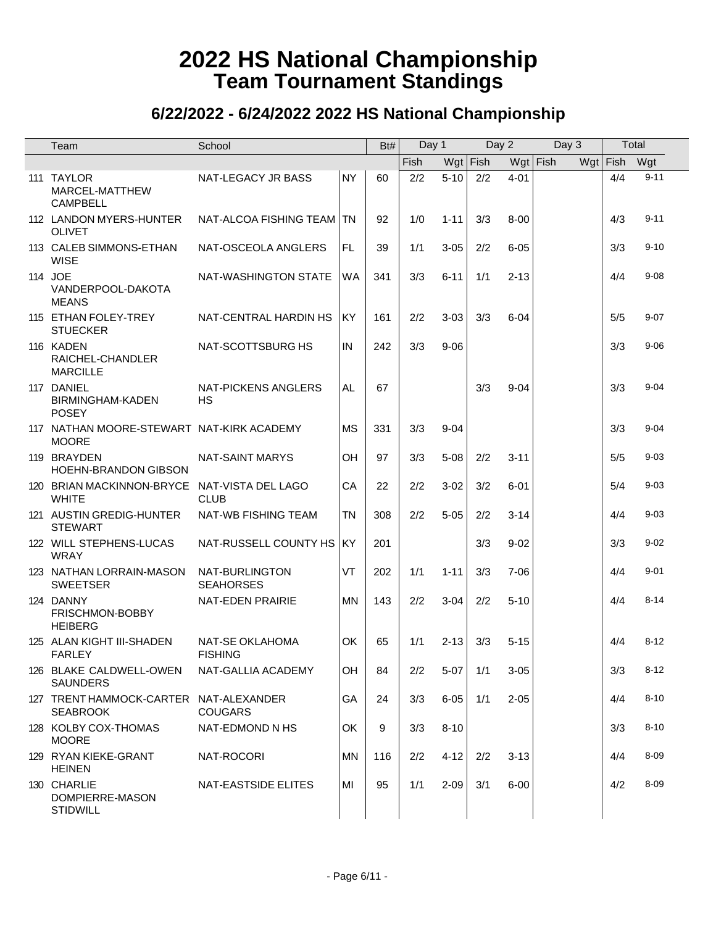|         | Team                                                         | School                                   |           | Bt# | Day 1 |          | Day 2      |            | Day 3 | Total      |          |
|---------|--------------------------------------------------------------|------------------------------------------|-----------|-----|-------|----------|------------|------------|-------|------------|----------|
|         |                                                              |                                          |           |     | Fish  |          | $Wgt$ Fish | $Wgt$ Fish |       | $Wgt$ Fish | Wgt      |
|         | 111 TAYLOR<br>MARCEL-MATTHEW<br><b>CAMPBELL</b>              | NAT-LEGACY JR BASS                       | <b>NY</b> | 60  | 2/2   | $5 - 10$ | 2/2        | $4 - 01$   |       | 4/4        | $9 - 11$ |
|         | 112 LANDON MYERS-HUNTER<br><b>OLIVET</b>                     | NAT-ALCOA FISHING TEAM   TN              |           | 92  | 1/0   | $1 - 11$ | 3/3        | $8 - 00$   |       | 4/3        | $9 - 11$ |
|         | 113 CALEB SIMMONS-ETHAN<br><b>WISE</b>                       | NAT-OSCEOLA ANGLERS                      | <b>FL</b> | 39  | 1/1   | $3 - 05$ | 2/2        | $6 - 05$   |       | 3/3        | $9 - 10$ |
| 114 JOE | VANDERPOOL-DAKOTA<br><b>MEANS</b>                            | NAT-WASHINGTON STATE                     | <b>WA</b> | 341 | 3/3   | $6 - 11$ | 1/1        | $2 - 13$   |       | 4/4        | $9 - 08$ |
|         | 115 ETHAN FOLEY-TREY<br><b>STUECKER</b>                      | NAT-CENTRAL HARDIN HS                    | <b>KY</b> | 161 | 2/2   | $3 - 03$ | 3/3        | $6 - 04$   |       | 5/5        | $9 - 07$ |
|         | 116 KADEN<br>RAICHEL-CHANDLER<br><b>MARCILLE</b>             | NAT-SCOTTSBURG HS                        | IN        | 242 | 3/3   | $9 - 06$ |            |            |       | 3/3        | $9 - 06$ |
|         | 117 DANIEL<br>BIRMINGHAM-KADEN<br><b>POSEY</b>               | NAT-PICKENS ANGLERS<br><b>HS</b>         | AL        | 67  |       |          | 3/3        | $9 - 04$   |       | 3/3        | $9 - 04$ |
|         | 117 NATHAN MOORE-STEWART NAT-KIRK ACADEMY<br><b>MOORE</b>    |                                          | MS        | 331 | 3/3   | $9 - 04$ |            |            |       | 3/3        | $9 - 04$ |
|         | 119 BRAYDEN<br><b>HOEHN-BRANDON GIBSON</b>                   | <b>NAT-SAINT MARYS</b>                   | OH        | 97  | 3/3   | $5 - 08$ | 2/2        | $3 - 11$   |       | 5/5        | $9 - 03$ |
|         | 120 BRIAN MACKINNON-BRYCE NAT-VISTA DEL LAGO<br><b>WHITE</b> | <b>CLUB</b>                              | CA        | 22  | 2/2   | $3 - 02$ | 3/2        | $6 - 01$   |       | 5/4        | $9 - 03$ |
|         | 121 AUSTIN GREDIG-HUNTER<br><b>STEWART</b>                   | NAT-WB FISHING TEAM                      | <b>TN</b> | 308 | 2/2   | $5 - 05$ | 2/2        | $3 - 14$   |       | 4/4        | $9 - 03$ |
|         | 122 WILL STEPHENS-LUCAS<br><b>WRAY</b>                       | NAT-RUSSELL COUNTY HS                    | KY        | 201 |       |          | 3/3        | $9 - 02$   |       | 3/3        | $9 - 02$ |
|         | 123 NATHAN LORRAIN-MASON<br><b>SWEETSER</b>                  | NAT-BURLINGTON<br><b>SEAHORSES</b>       | VT        | 202 | 1/1   | $1 - 11$ | 3/3        | $7 - 06$   |       | 4/4        | $9 - 01$ |
|         | 124 DANNY<br>FRISCHMON-BOBBY<br><b>HEIBERG</b>               | <b>NAT-EDEN PRAIRIE</b>                  | <b>MN</b> | 143 | 2/2   | $3 - 04$ | 2/2        | $5 - 10$   |       | 4/4        | $8 - 14$ |
|         | 125 ALAN KIGHT III-SHADEN<br><b>FARLEY</b>                   | <b>NAT-SE OKLAHOMA</b><br><b>FISHING</b> | OK        | 65  | 1/1   | $2 - 13$ | 3/3        | $5 - 15$   |       | 4/4        | $8 - 12$ |
|         | 126 BLAKE CALDWELL-OWEN<br><b>SAUNDERS</b>                   | NAT-GALLIA ACADEMY                       | OH        | 84  | 2/2   | $5 - 07$ | 1/1        | $3 - 05$   |       | 3/3        | $8 - 12$ |
|         | 127 TRENT HAMMOCK-CARTER NAT-ALEXANDER<br><b>SEABROOK</b>    | <b>COUGARS</b>                           | GA        | 24  | 3/3   | $6 - 05$ | 1/1        | $2 - 05$   |       | 4/4        | $8 - 10$ |
|         | 128 KOLBY COX-THOMAS<br><b>MOORE</b>                         | NAT-EDMOND N HS                          | OK        | 9   | 3/3   | $8 - 10$ |            |            |       | 3/3        | $8 - 10$ |
|         | 129 RYAN KIEKE-GRANT<br><b>HEINEN</b>                        | NAT-ROCORI                               | <b>MN</b> | 116 | 2/2   | $4 - 12$ | 2/2        | $3 - 13$   |       | 4/4        | $8 - 09$ |
|         | 130 CHARLIE<br>DOMPIERRE-MASON<br><b>STIDWILL</b>            | NAT-EASTSIDE ELITES                      | MI        | 95  | 1/1   | $2 - 09$ | 3/1        | $6 - 00$   |       | 4/2        | $8 - 09$ |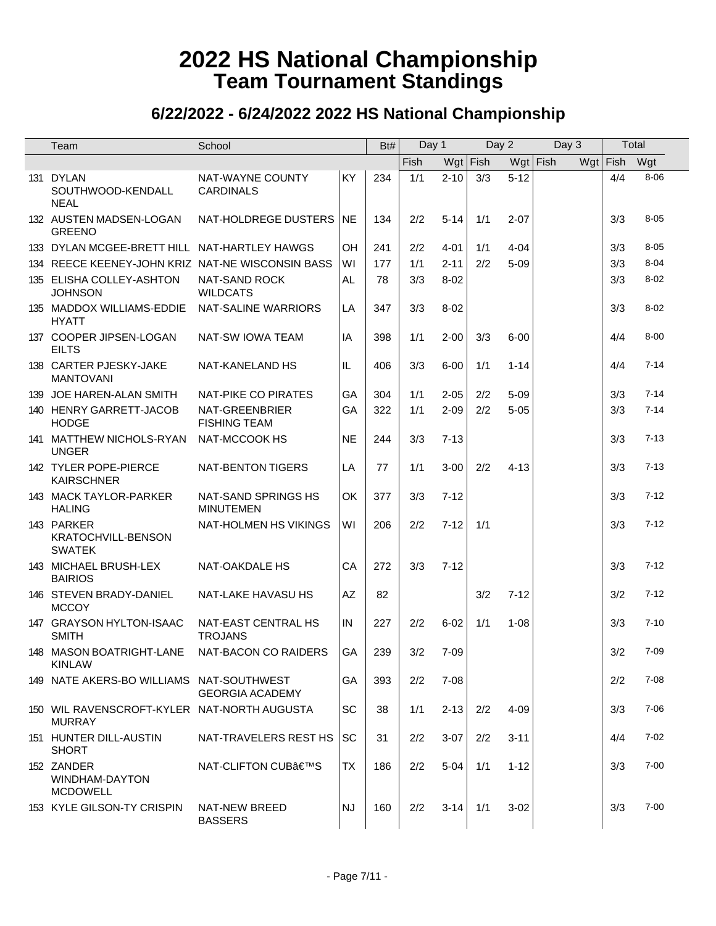|     | Team                                                         | School                                  |           | Bt# | Day 1 |            |     | Day 2      | Day 3 |            | Total    |
|-----|--------------------------------------------------------------|-----------------------------------------|-----------|-----|-------|------------|-----|------------|-------|------------|----------|
|     |                                                              |                                         |           |     | Fish  | $Wgt$ Fish |     | $Wgt$ Fish |       | $Wgt$ Fish | Wgt      |
|     | 131 DYLAN<br>SOUTHWOOD-KENDALL<br><b>NEAL</b>                | NAT-WAYNE COUNTY<br><b>CARDINALS</b>    | KY        | 234 | 1/1   | $2 - 10$   | 3/3 | $5 - 12$   |       | 4/4        | $8 - 06$ |
|     | 132 AUSTEN MADSEN-LOGAN<br><b>GREENO</b>                     | NAT-HOLDREGE DUSTERS                    | NE        | 134 | 2/2   | $5 - 14$   | 1/1 | $2 - 07$   |       | 3/3        | $8 - 05$ |
|     | 133 DYLAN MCGEE-BRETT HILL NAT-HARTLEY HAWGS                 |                                         | OH        | 241 | 2/2   | $4 - 01$   | 1/1 | $4 - 04$   |       | 3/3        | $8 - 05$ |
|     | 134 REECE KEENEY-JOHN KRIZ NAT-NE WISCONSIN BASS             |                                         | WI        | 177 | 1/1   | $2 - 11$   | 2/2 | $5 - 09$   |       | 3/3        | $8 - 04$ |
|     | 135 ELISHA COLLEY-ASHTON<br><b>JOHNSON</b>                   | NAT-SAND ROCK<br><b>WILDCATS</b>        | AL.       | 78  | 3/3   | $8 - 02$   |     |            |       | 3/3        | $8 - 02$ |
|     | 135 MADDOX WILLIAMS-EDDIE<br><b>HYATT</b>                    | NAT-SALINE WARRIORS                     | LA        | 347 | 3/3   | $8 - 02$   |     |            |       | 3/3        | $8 - 02$ |
|     | 137 COOPER JIPSEN-LOGAN<br><b>EILTS</b>                      | NAT-SW IOWA TEAM                        | IA        | 398 | 1/1   | $2 - 00$   | 3/3 | $6 - 00$   |       | 4/4        | $8 - 00$ |
|     | 138 CARTER PJESKY-JAKE<br><b>MANTOVANI</b>                   | NAT-KANELAND HS                         | IL.       | 406 | 3/3   | $6 - 00$   | 1/1 | $1 - 14$   |       | 4/4        | $7 - 14$ |
|     | 139 JOE HAREN-ALAN SMITH                                     | NAT-PIKE CO PIRATES                     | GA        | 304 | 1/1   | $2 - 05$   | 2/2 | $5 - 09$   |       | 3/3        | $7 - 14$ |
|     | 140 HENRY GARRETT-JACOB<br><b>HODGE</b>                      | NAT-GREENBRIER<br><b>FISHING TEAM</b>   | GA        | 322 | 1/1   | $2 - 09$   | 2/2 | $5 - 05$   |       | 3/3        | $7 - 14$ |
| 141 | MATTHEW NICHOLS-RYAN<br><b>UNGER</b>                         | NAT-MCCOOK HS                           | <b>NE</b> | 244 | 3/3   | $7 - 13$   |     |            |       | 3/3        | $7 - 13$ |
|     | 142 TYLER POPE-PIERCE<br><b>KAIRSCHNER</b>                   | NAT-BENTON TIGERS                       | LA        | 77  | 1/1   | $3 - 00$   | 2/2 | $4 - 13$   |       | 3/3        | $7 - 13$ |
|     | 143 MACK TAYLOR-PARKER<br><b>HALING</b>                      | NAT-SAND SPRINGS HS<br><b>MINUTEMEN</b> | OK        | 377 | 3/3   | $7 - 12$   |     |            |       | 3/3        | $7 - 12$ |
|     | 143 PARKER<br>KRATOCHVILL-BENSON<br><b>SWATEK</b>            | NAT-HOLMEN HS VIKINGS                   | WI        | 206 | 2/2   | $7 - 12$   | 1/1 |            |       | 3/3        | $7 - 12$ |
|     | 143 MICHAEL BRUSH-LEX<br><b>BAIRIOS</b>                      | NAT-OAKDALE HS                          | CA        | 272 | 3/3   | $7 - 12$   |     |            |       | 3/3        | $7 - 12$ |
|     | 146 STEVEN BRADY-DANIEL<br><b>MCCOY</b>                      | NAT-LAKE HAVASU HS                      | AZ        | 82  |       |            | 3/2 | $7 - 12$   |       | 3/2        | $7 - 12$ |
|     | 147 GRAYSON HYLTON-ISAAC<br><b>SMITH</b>                     | NAT-EAST CENTRAL HS<br><b>TROJANS</b>   | IN        | 227 | 2/2   | $6 - 02$   | 1/1 | $1 - 08$   |       | 3/3        | $7 - 10$ |
|     | 148 MASON BOATRIGHT-LANE<br><b>KINLAW</b>                    | NAT-BACON CO RAIDERS                    | GA        | 239 | 3/2   | $7 - 09$   |     |            |       | 3/2        | $7 - 09$ |
|     | 149 NATE AKERS-BO WILLIAMS NAT-SOUTHWEST                     | <b>GEORGIA ACADEMY</b>                  | GA        | 393 | 2/2   | $7 - 08$   |     |            |       | 2/2        | $7 - 08$ |
|     | 150 WIL RAVENSCROFT-KYLER NAT-NORTH AUGUSTA<br><b>MURRAY</b> |                                         | <b>SC</b> | 38  | 1/1   | $2 - 13$   | 2/2 | $4 - 09$   |       | 3/3        | $7 - 06$ |
|     | 151 HUNTER DILL-AUSTIN<br><b>SHORT</b>                       | NAT-TRAVELERS REST HS                   | <b>SC</b> | 31  | 2/2   | $3-07$     | 2/2 | $3 - 11$   |       | 4/4        | $7 - 02$ |
|     | 152 ZANDER<br><b>WINDHAM-DAYTON</b><br><b>MCDOWELL</b>       | NAT-CLIFTON CUB'S                       | <b>TX</b> | 186 | 2/2   | $5 - 04$   | 1/1 | $1 - 12$   |       | 3/3        | $7 - 00$ |
|     | 153 KYLE GILSON-TY CRISPIN                                   | NAT-NEW BREED<br><b>BASSERS</b>         | <b>NJ</b> | 160 | 2/2   | $3 - 14$   | 1/1 | $3-02$     |       | 3/3        | $7 - 00$ |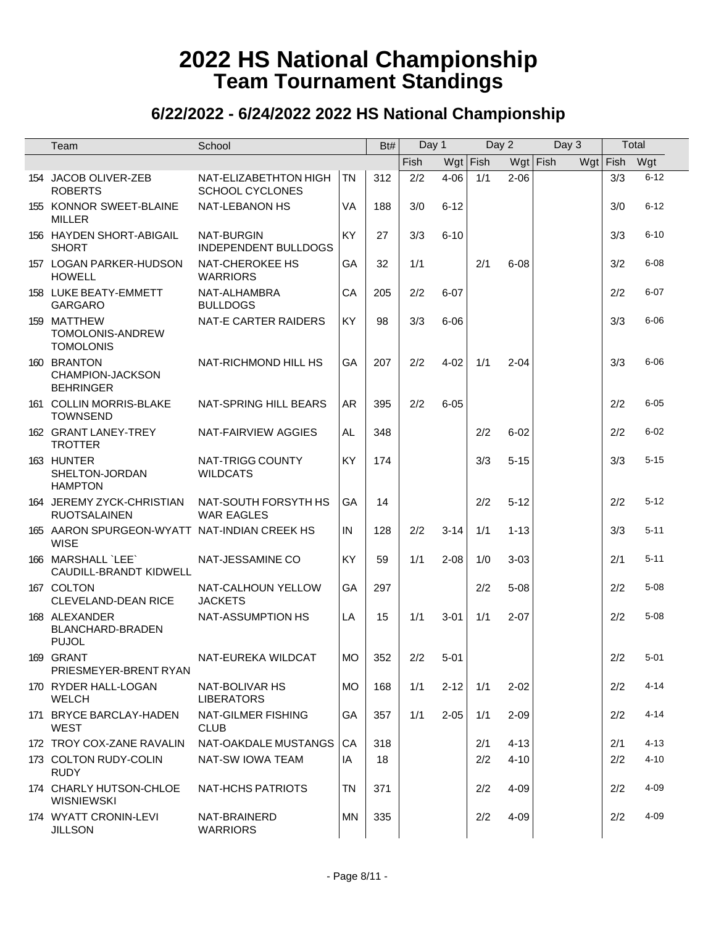| Team                                                        | School                                           |           | Bt# | Day 1 |            | Day 2 |            | Day 3 | Total      |          |
|-------------------------------------------------------------|--------------------------------------------------|-----------|-----|-------|------------|-------|------------|-------|------------|----------|
|                                                             |                                                  |           |     | Fish  | $Wgt$ Fish |       | $Wgt$ Fish |       | $Wgt$ Fish | Wgt      |
| 154 JACOB OLIVER-ZEB                                        | NAT-ELIZABETHTON HIGH                            | <b>TN</b> | 312 | 2/2   | $4 - 06$   | 1/1   | $2 - 06$   |       | 3/3        | $6 - 12$ |
| <b>ROBERTS</b>                                              | <b>SCHOOL CYCLONES</b>                           |           |     |       |            |       |            |       |            |          |
| 155 KONNOR SWEET-BLAINE<br><b>MILLER</b>                    | NAT-LEBANON HS                                   | VA        | 188 | 3/0   | $6 - 12$   |       |            |       | 3/0        | $6 - 12$ |
| 156 HAYDEN SHORT-ABIGAIL<br><b>SHORT</b>                    | <b>NAT-BURGIN</b><br><b>INDEPENDENT BULLDOGS</b> | KY        | 27  | 3/3   | $6 - 10$   |       |            |       | 3/3        | $6 - 10$ |
| 157 LOGAN PARKER-HUDSON<br><b>HOWELL</b>                    | NAT-CHEROKEE HS<br><b>WARRIORS</b>               | GA        | 32  | 1/1   |            | 2/1   | $6 - 08$   |       | 3/2        | $6 - 08$ |
| 158 LUKE BEATY-EMMETT<br><b>GARGARO</b>                     | NAT-ALHAMBRA<br><b>BULLDOGS</b>                  | CA        | 205 | 2/2   | $6 - 07$   |       |            |       | 2/2        | $6 - 07$ |
| 159 MATTHEW<br>TOMOLONIS-ANDREW<br><b>TOMOLONIS</b>         | NAT-E CARTER RAIDERS                             | <b>KY</b> | 98  | 3/3   | $6 - 06$   |       |            |       | 3/3        | $6 - 06$ |
| 160 BRANTON<br>CHAMPION-JACKSON<br><b>BEHRINGER</b>         | NAT-RICHMOND HILL HS                             | GA        | 207 | 2/2   | $4 - 02$   | 1/1   | $2 - 04$   |       | 3/3        | $6 - 06$ |
| 161 COLLIN MORRIS-BLAKE<br><b>TOWNSEND</b>                  | <b>NAT-SPRING HILL BEARS</b>                     | <b>AR</b> | 395 | 2/2   | $6 - 05$   |       |            |       | 2/2        | $6 - 05$ |
| 162 GRANT LANEY-TREY<br><b>TROTTER</b>                      | NAT-FAIRVIEW AGGIES                              | AL.       | 348 |       |            | 2/2   | $6 - 02$   |       | 2/2        | $6 - 02$ |
| 163 HUNTER<br>SHELTON-JORDAN<br><b>HAMPTON</b>              | <b>NAT-TRIGG COUNTY</b><br><b>WILDCATS</b>       | <b>KY</b> | 174 |       |            | 3/3   | $5 - 15$   |       | 3/3        | $5 - 15$ |
| 164 JEREMY ZYCK-CHRISTIAN<br><b>RUOTSALAINEN</b>            | NAT-SOUTH FORSYTH HS<br><b>WAR EAGLES</b>        | GA        | 14  |       |            | 2/2   | $5 - 12$   |       | 2/2        | $5 - 12$ |
| 165 AARON SPURGEON-WYATT NAT-INDIAN CREEK HS<br><b>WISE</b> |                                                  | IN        | 128 | 2/2   | $3 - 14$   | 1/1   | $1 - 13$   |       | 3/3        | $5 - 11$ |
| 166 MARSHALL `LEE`<br>CAUDILL-BRANDT KIDWELL                | NAT-JESSAMINE CO                                 | KY        | 59  | 1/1   | $2 - 08$   | 1/0   | $3 - 03$   |       | 2/1        | $5 - 11$ |
| 167 COLTON<br>CLEVELAND-DEAN RICE                           | NAT-CALHOUN YELLOW<br><b>JACKETS</b>             | GA        | 297 |       |            | 2/2   | $5 - 08$   |       | 2/2        | $5 - 08$ |
| 168 ALEXANDER<br>BLANCHARD-BRADEN<br><b>PUJOL</b>           | NAT-ASSUMPTION HS                                | LA        | 15  | 1/1   | $3 - 01$   | 1/1   | $2 - 07$   |       | 2/2        | $5 - 08$ |
| 169 GRANT<br>PRIESMEYER-BRENT RYAN                          | NAT-EUREKA WILDCAT                               | <b>MO</b> | 352 | 2/2   | $5 - 01$   |       |            |       | 2/2        | $5 - 01$ |
| 170 RYDER HALL-LOGAN<br><b>WELCH</b>                        | NAT-BOLIVAR HS<br><b>LIBERATORS</b>              | <b>MO</b> | 168 | 1/1   | $2 - 12$   | 1/1   | $2 - 02$   |       | 2/2        | $4 - 14$ |
| 171 BRYCE BARCLAY-HADEN<br>WEST                             | NAT-GILMER FISHING<br><b>CLUB</b>                | GA        | 357 | 1/1   | $2 - 05$   | 1/1   | $2 - 09$   |       | 2/2        | $4 - 14$ |
| 172 TROY COX-ZANE RAVALIN                                   | NAT-OAKDALE MUSTANGS                             | CA        | 318 |       |            | 2/1   | $4 - 13$   |       | 2/1        | $4 - 13$ |
| 173 COLTON RUDY-COLIN<br><b>RUDY</b>                        | NAT-SW IOWA TEAM                                 | IA        | 18  |       |            | 2/2   | $4 - 10$   |       | 2/2        | $4 - 10$ |
| 174 CHARLY HUTSON-CHLOE<br><b>WISNIEWSKI</b>                | NAT-HCHS PATRIOTS                                | TN        | 371 |       |            | 2/2   | $4 - 09$   |       | 2/2        | 4-09     |
| 174 WYATT CRONIN-LEVI<br><b>JILLSON</b>                     | NAT-BRAINERD<br><b>WARRIORS</b>                  | ΜN        | 335 |       |            | 2/2   | $4 - 09$   |       | 2/2        | $4 - 09$ |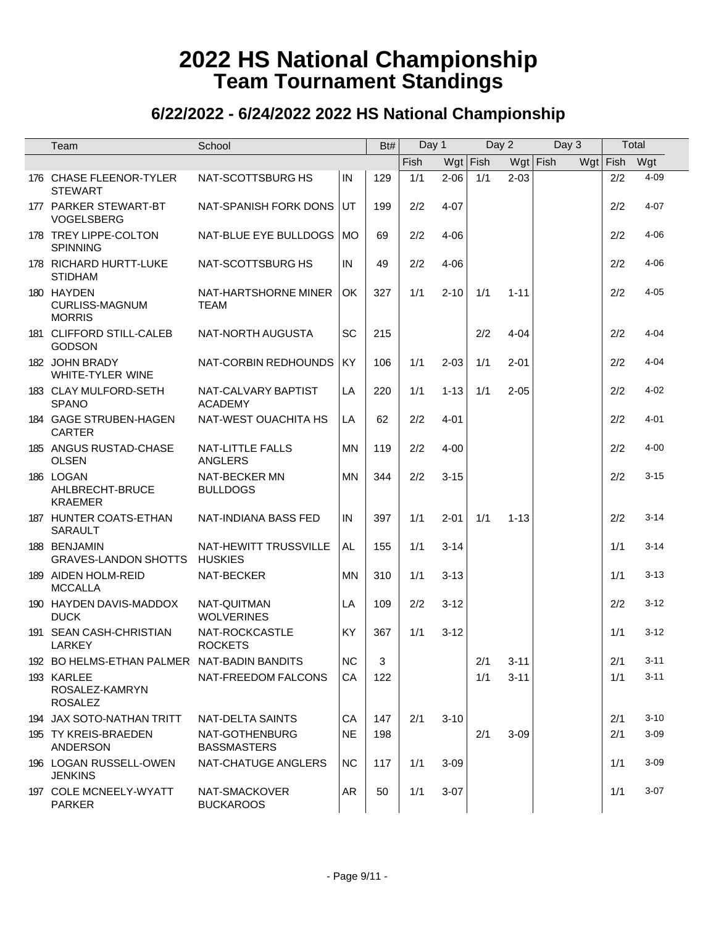| Team                                                 | School                                    |           | Bt# | Day 1 |            | Day 2 |            | Day 3 | Total      |          |
|------------------------------------------------------|-------------------------------------------|-----------|-----|-------|------------|-------|------------|-------|------------|----------|
|                                                      |                                           |           |     | Fish  | $Wgt$ Fish |       | $Wgt$ Fish |       | $Wgt$ Fish | Wgt      |
| 176 CHASE FLEENOR-TYLER<br><b>STEWART</b>            | NAT-SCOTTSBURG HS                         | IN        | 129 | 1/1   | $2 - 06$   | 1/1   | $2 - 03$   |       | 2/2        | $4 - 09$ |
| 177 PARKER STEWART-BT<br>VOGELSBERG                  | NAT-SPANISH FORK DONS                     | UT        | 199 | 2/2   | $4 - 07$   |       |            |       | 2/2        | $4 - 07$ |
| 178 TREY LIPPE-COLTON<br><b>SPINNING</b>             | NAT-BLUE EYE BULLDOGS                     | MO        | 69  | 2/2   | $4 - 06$   |       |            |       | 2/2        | $4 - 06$ |
| 178 RICHARD HURTT-LUKE<br><b>STIDHAM</b>             | NAT-SCOTTSBURG HS                         | IN        | 49  | 2/2   | $4 - 06$   |       |            |       | 2/2        | $4 - 06$ |
| 180 HAYDEN<br><b>CURLISS-MAGNUM</b><br><b>MORRIS</b> | NAT-HARTSHORNE MINER<br><b>TEAM</b>       | OK        | 327 | 1/1   | $2 - 10$   | 1/1   | $1 - 11$   |       | 2/2        | $4 - 05$ |
| 181 CLIFFORD STILL-CALEB<br><b>GODSON</b>            | NAT-NORTH AUGUSTA                         | <b>SC</b> | 215 |       |            | 2/2   | $4 - 04$   |       | 2/2        | $4 - 04$ |
| 182 JOHN BRADY<br>WHITE-TYLER WINE                   | NAT-CORBIN REDHOUNDS                      | KY        | 106 | 1/1   | $2 - 03$   | 1/1   | $2 - 01$   |       | 2/2        | $4 - 04$ |
| 183 CLAY MULFORD-SETH<br><b>SPANO</b>                | NAT-CALVARY BAPTIST<br><b>ACADEMY</b>     | LA        | 220 | 1/1   | $1 - 13$   | 1/1   | $2 - 05$   |       | 2/2        | $4 - 02$ |
| 184 GAGE STRUBEN-HAGEN<br><b>CARTER</b>              | NAT-WEST OUACHITA HS                      | LA        | 62  | 2/2   | $4 - 01$   |       |            |       | 2/2        | $4 - 01$ |
| 185 ANGUS RUSTAD-CHASE<br><b>OLSEN</b>               | <b>NAT-LITTLE FALLS</b><br><b>ANGLERS</b> | <b>MN</b> | 119 | 2/2   | $4 - 00$   |       |            |       | 2/2        | $4 - 00$ |
| 186 LOGAN<br>AHLBRECHT-BRUCE<br><b>KRAEMER</b>       | NAT-BECKER MN<br><b>BULLDOGS</b>          | <b>MN</b> | 344 | 2/2   | $3 - 15$   |       |            |       | 2/2        | $3 - 15$ |
| 187 HUNTER COATS-ETHAN<br>SARAULT                    | NAT-INDIANA BASS FED                      | IN        | 397 | 1/1   | $2 - 01$   | 1/1   | $1 - 13$   |       | 2/2        | $3 - 14$ |
| 188 BENJAMIN<br><b>GRAVES-LANDON SHOTTS</b>          | NAT-HEWITT TRUSSVILLE<br><b>HUSKIES</b>   | AL.       | 155 | 1/1   | $3 - 14$   |       |            |       | 1/1        | $3 - 14$ |
| 189 AIDEN HOLM-REID<br><b>MCCALLA</b>                | NAT-BECKER                                | <b>MN</b> | 310 | 1/1   | $3 - 13$   |       |            |       | 1/1        | $3 - 13$ |
| 190 HAYDEN DAVIS-MADDOX<br><b>DUCK</b>               | NAT-QUITMAN<br><b>WOLVERINES</b>          | LA        | 109 | 2/2   | $3 - 12$   |       |            |       | 2/2        | $3 - 12$ |
| 191 SEAN CASH-CHRISTIAN<br><b>LARKEY</b>             | NAT-ROCKCASTLE<br><b>ROCKETS</b>          | <b>KY</b> | 367 | 1/1   | $3 - 12$   |       |            |       | 1/1        | $3 - 12$ |
| 192 BO HELMS-ETHAN PALMER NAT-BADIN BANDITS          |                                           | <b>NC</b> | 3   |       |            | 2/1   | 3-11       |       | 2/1        | $3 - 11$ |
| 193 KARLEE<br>ROSALEZ-KAMRYN<br><b>ROSALEZ</b>       | NAT-FREEDOM FALCONS                       | CA        | 122 |       |            | 1/1   | $3 - 11$   |       | 1/1        | $3 - 11$ |
| 194 JAX SOTO-NATHAN TRITT                            | NAT-DELTA SAINTS                          | CA        | 147 | 2/1   | $3 - 10$   |       |            |       | 2/1        | $3 - 10$ |
| 195 TY KREIS-BRAEDEN<br><b>ANDERSON</b>              | NAT-GOTHENBURG<br><b>BASSMASTERS</b>      | <b>NE</b> | 198 |       |            | 2/1   | $3 - 09$   |       | 2/1        | $3 - 09$ |
| 196 LOGAN RUSSELL-OWEN<br><b>JENKINS</b>             | NAT-CHATUGE ANGLERS                       | <b>NC</b> | 117 | 1/1   | $3 - 09$   |       |            |       | 1/1        | $3 - 09$ |
| 197 COLE MCNEELY-WYATT<br><b>PARKER</b>              | NAT-SMACKOVER<br><b>BUCKAROOS</b>         | AR        | 50  | 1/1   | $3 - 07$   |       |            |       | 1/1        | $3-07$   |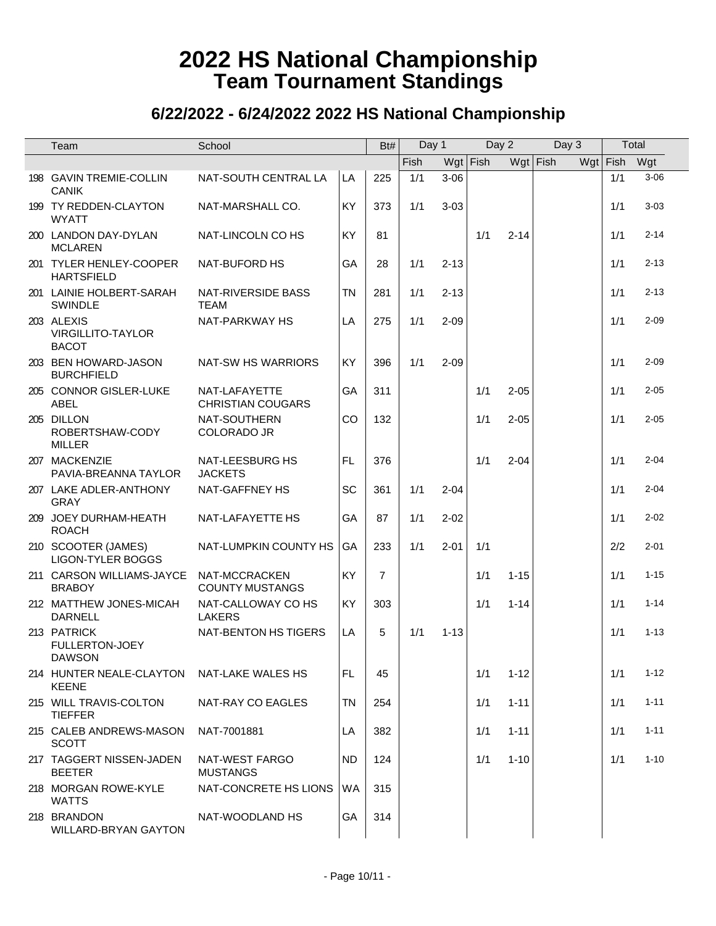| Team                                                       | School                                    |           | Bt#            | Day 1 |            | Day 2 |          | Day 3      | Total      |          |
|------------------------------------------------------------|-------------------------------------------|-----------|----------------|-------|------------|-------|----------|------------|------------|----------|
|                                                            |                                           |           |                | Fish  | $Wgt$ Fish |       |          | $Wgt$ Fish | $Wgt$ Fish | Wgt      |
| 198 GAVIN TREMIE-COLLIN<br><b>CANIK</b>                    | NAT-SOUTH CENTRAL LA                      | LA        | 225            | 1/1   | $3 - 06$   |       |          |            | 1/1        | $3 - 06$ |
| 199 TY REDDEN-CLAYTON<br><b>WYATT</b>                      | NAT-MARSHALL CO.                          | KY        | 373            | 1/1   | $3 - 03$   |       |          |            | 1/1        | $3 - 03$ |
| 200 LANDON DAY-DYLAN<br><b>MCLAREN</b>                     | NAT-LINCOLN CO HS                         | KY        | 81             |       |            | 1/1   | $2 - 14$ |            | 1/1        | $2 - 14$ |
| 201 TYLER HENLEY-COOPER<br><b>HARTSFIELD</b>               | NAT-BUFORD HS                             | GA        | 28             | 1/1   | $2 - 13$   |       |          |            | 1/1        | $2 - 13$ |
| 201 LAINIE HOLBERT-SARAH<br><b>SWINDLE</b>                 | NAT-RIVERSIDE BASS<br><b>TEAM</b>         | <b>TN</b> | 281            | 1/1   | $2 - 13$   |       |          |            | 1/1        | $2 - 13$ |
| 203 ALEXIS<br><b>VIRGILLITO-TAYLOR</b><br><b>BACOT</b>     | NAT-PARKWAY HS                            | LA        | 275            | 1/1   | $2 - 09$   |       |          |            | 1/1        | $2 - 09$ |
| 203 BEN HOWARD-JASON<br><b>BURCHFIELD</b>                  | NAT-SW HS WARRIORS                        | KY        | 396            | 1/1   | $2 - 09$   |       |          |            | 1/1        | $2 - 09$ |
| 205 CONNOR GISLER-LUKE<br><b>ABEL</b>                      | NAT-LAFAYETTE<br><b>CHRISTIAN COUGARS</b> | GA        | 311            |       |            | 1/1   | $2 - 05$ |            | 1/1        | $2 - 05$ |
| 205 DILLON<br>ROBERTSHAW-CODY<br><b>MILLER</b>             | NAT-SOUTHERN<br>COLORADO JR               | CO        | 132            |       |            | 1/1   | $2 - 05$ |            | 1/1        | $2 - 05$ |
| 207 MACKENZIE<br>PAVIA-BREANNA TAYLOR                      | NAT-LEESBURG HS<br><b>JACKETS</b>         | <b>FL</b> | 376            |       |            | 1/1   | $2 - 04$ |            | 1/1        | $2 - 04$ |
| 207 LAKE ADLER-ANTHONY<br><b>GRAY</b>                      | NAT-GAFFNEY HS                            | SC        | 361            | 1/1   | $2 - 04$   |       |          |            | 1/1        | $2 - 04$ |
| 209 JOEY DURHAM-HEATH<br><b>ROACH</b>                      | NAT-LAFAYETTE HS                          | GA        | 87             | 1/1   | $2 - 02$   |       |          |            | 1/1        | $2 - 02$ |
| 210 SCOOTER (JAMES)<br><b>LIGON-TYLER BOGGS</b>            | NAT-LUMPKIN COUNTY HS                     | GA        | 233            | 1/1   | $2 - 01$   | 1/1   |          |            | 2/2        | $2 - 01$ |
| 211 CARSON WILLIAMS-JAYCE<br><b>BRABOY</b>                 | NAT-MCCRACKEN<br><b>COUNTY MUSTANGS</b>   | KY        | $\overline{7}$ |       |            | 1/1   | $1 - 15$ |            | 1/1        | $1 - 15$ |
| 212 MATTHEW JONES-MICAH<br><b>DARNELL</b>                  | NAT-CALLOWAY CO HS<br><b>LAKERS</b>       | KY        | 303            |       |            | 1/1   | $1 - 14$ |            | 1/1        | $1 - 14$ |
| 213 PATRICK<br>FULLERTON-JOEY<br><b>DAWSON</b>             | NAT-BENTON HS TIGERS                      | LA        | 5              | 1/1   | $1 - 13$   |       |          |            | 1/1        | $1 - 13$ |
| 214 HUNTER NEALE-CLAYTON NAT-LAKE WALES HS<br><b>KEENE</b> |                                           | FL        | 45             |       |            | 1/1   | $1 - 12$ |            | 1/1        | $1 - 12$ |
| 215 WILL TRAVIS-COLTON<br><b>TIEFFER</b>                   | NAT-RAY CO EAGLES                         | TN        | 254            |       |            | 1/1   | $1 - 11$ |            | 1/1        | $1 - 11$ |
| 215 CALEB ANDREWS-MASON<br><b>SCOTT</b>                    | NAT-7001881                               | LA        | 382            |       |            | 1/1   | $1 - 11$ |            | 1/1        | $1 - 11$ |
| 217 TAGGERT NISSEN-JADEN<br><b>BEETER</b>                  | NAT-WEST FARGO<br><b>MUSTANGS</b>         | ND        | 124            |       |            | 1/1   | $1 - 10$ |            | 1/1        | $1 - 10$ |
| 218 MORGAN ROWE-KYLE<br><b>WATTS</b>                       | NAT-CONCRETE HS LIONS                     | <b>WA</b> | 315            |       |            |       |          |            |            |          |
| 218 BRANDON<br>WILLARD-BRYAN GAYTON                        | NAT-WOODLAND HS                           | GA        | 314            |       |            |       |          |            |            |          |